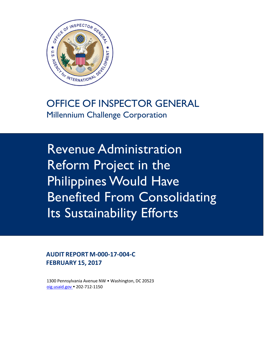

OFFICE OF INSPECTOR GENERAL Millennium Challenge Corporation

Revenue Administration Reform Project in the Philippines Would Have Benefited From Consolidating Its Sustainability Efforts

**AUDIT REPORT M-000-17-004-C FEBRUARY 15, 2017**

1300 Pennsylvania Avenue NW • Washington, DC 20523 [oig.usaid.gov](https://oig.usaid.gov/) 202-712-1150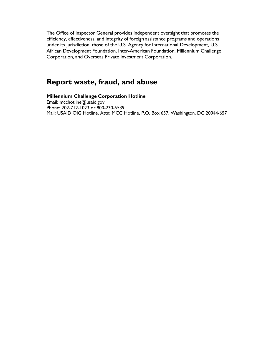The Office of Inspector General provides independent oversight that promotes the efficiency, effectiveness, and integrity of foreign assistance programs and operations under its jurisdiction, those of the U.S. Agency for International Development, U.S. African Development Foundation, Inter-American Foundation, Millennium Challenge Corporation, and Overseas Private Investment Corporation.

# **Report waste, fraud, and abuse**

**Millennium Challenge Corporation Hotline** [Email: mcchotline@usaid.gov](mailto:mcchotline@usaid.gov) Phone: 202-712-1023 or 800-230-6539 Mail: USAID OIG Hotline, Attn: MCC Hotline, P.O. Box 657, Washington, DC 20044-657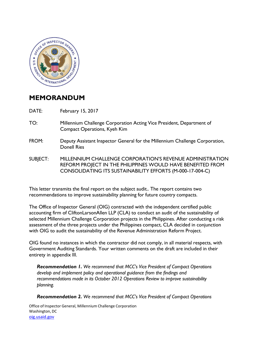

# **MEMORANDUM**

DATE: February 15, 2017

- TO: Millennium Challenge Corporation Acting Vice President, Department of Compact Operations, Kyeh Kim
- FROM: Deputy Assistant Inspector General for the Millennium Challenge Corporation, Donell Ries
- SUBJECT: MILLENNIUM CHALLENGE CORPORATION'S REVENUE ADMINISTRATION REFORM PROJECT IN THE PHILIPPINES WOULD HAVE BENEFITED FROM CONSOLIDATING ITS SUSTAINABILITY EFFORTS (M-000-17-004-C)

This letter transmits the final report on the subject audit.. The report contains two recommendations to improve sustainability planning for future country compacts.

The Office of Inspector General (OIG) contracted with the independent certified public accounting firm of CliftonLarsonAllen LLP (CLA) to conduct an audit of the sustainability of selected Millennium Challenge Corporation projects in the Philippines. After conducting a risk assessment of the three projects under the Philippines compact, CLA decided in conjunction with OIG to audit the sustainability of the Revenue Administration Reform Project.

OIG found no instances in which the contractor did not comply, in all material respects, with Government Auditing Standards. Your written comments on the draft are included in their entirety in appendix III.

*Recommendation 1. We recommend that MCC's Vice President of Compact Operations develop and implement policy and operational guidance from the findings and recommendations made in its October 2012 Operations Review to improve sustainability planning.*

*Recommendation 2. We recommend that MCC's Vice President of Compact Operations*

Office of Inspector General, Millennium Challenge Corporation Washington, DC [oig.usaid.gov](https://oig.usaid.gov/)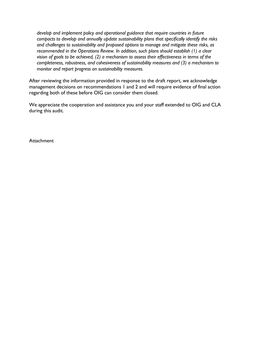*develop and implement policy and operational guidance that require countries in future compacts to develop and annually update sustainability plans that specifically identify the risks and challenges to sustainability and proposed options to manage and mitigate these risks, as recommended in the Operations Review. In addition, such plans should establish (1) a clear vision of goals to be achieved, (2) a mechanism to assess their effectiveness in terms of the completeness, robustness, and cohesiveness of sustainability measures and (3) a mechanism to monitor and report progress on sustainability measures.*

After reviewing the information provided in response to the draft report, we acknowledge management decisions on recommendations 1 and 2 and will require evidence of final action regarding both of these before OIG can consider them closed.

We appreciate the cooperation and assistance you and your staff extended to OIG and CLA during this audit.

**Attachment**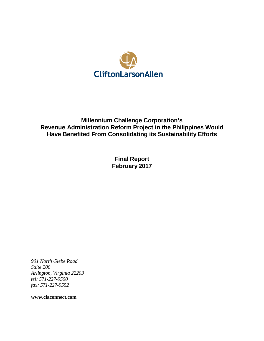

# **Millennium Challenge Corporation's Revenue Administration Reform Project in the Philippines Would Have Benefited From Consolidating its Sustainability Efforts**

**Final Report February 2017**

*901 North Glebe Road Suite 200 Arlington, Virginia 22203 tel: 571-227-9500 fax: 571-227-9552*

**[www.claconnect.com](http://www.claconnect.com/)**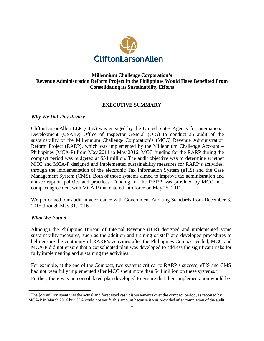

#### **Millennium Challenge Corporation's Revenue Administration Reform Project in the Philippines Would Have Benefited From Consolidating its Sustainability Efforts**

#### **EXECUTIVE SUMMARY**

#### *Why We Did This Review*

CliftonLarsonAllen LLP (CLA) was engaged by the United States Agency for International Development (USAID) Office of Inspector General (OIG) to conduct an audit of the sustainability of the Millennium Challenge Corporation's (MCC) Revenue Administration Reform Project (RARP), which was implemented by the Millennium Challenge Account – Philippines (MCA-P) from May 2011 to May 2016. MCC funding for the RARP during the compact period was budgeted at \$54 million. The audit objective was to determine whether MCC and MCA-P designed and implemented sustainability measures for RARP's activities, through the implementation of the electronic Tax Information System (eTIS) and the Case Management System (CMS). Both of those systems aimed to improve tax administration and anti-corruption policies and practices. Funding for the RARP was provided by MCC in a compact agreement with MCA-P that entered into force on May 25, 2011.

We performed our audit in accordance with Government Auditing Standards from December 3, 2015 through May 31, 2016.

#### *What We Found*

Although the Philippine Bureau of Internal Revenue (BIR) designed and implemented some sustainability measures, such as the addition and training of staff and developed procedures to help ensure the continuity of RARP's activities after the Philippines Compact ended, MCC and MCA-P did not ensure that a consolidated plan was developed to address the significant risks for fully implementing and sustaining the activities.

For example, at the end of the Compact, two systems critical to RARP's success, eTIS and CMS had not been fully implemented after MCC spent more than \$44 million on these systems.<sup>1</sup> Further, there was no consolidated plan developed to ensure that their implementation would be

<span id="page-5-0"></span> $1$  The \$44 million spent was the actual and forecasted cash disbursements over the compact period, as reported by MCA-P in March 2016 but CLA could not verify this amount because it was provided after completion of the audit.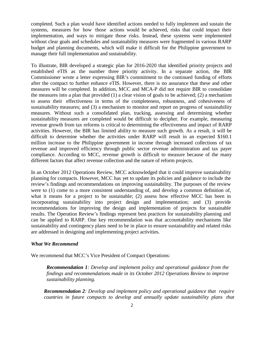completed. Such a plan would have identified actions needed to fully implement and sustain the systems, measures for how those actions would be achieved, risks that could impact their implementation, and ways to mitigate those risks. Instead, these systems were implemented without clear goals and schedules and sustainability measures were fragmented in various RARP budget and planning documents, which will make it difficult for the Philippine government to manage their full implementation and sustainability.

To illustrate, BIR developed a strategic plan for 2016-2020 that identified priority projects and established eTIS as the number three priority activity. In a separate action, the BIR Commissioner wrote a letter expressing BIR's commitment to the continued funding of efforts after the compact to further enhance eTIS. However, there is no assurance that these and other measures will be completed. In addition, MCC and MCA-P did not require BIR to consolidate the measures into a plan that provided (1) a clear vision of goals to be achieved; (2) a mechanism to assess their effectiveness in terms of the completeness, robustness, and cohesiveness of sustainability measures; and (3) a mechanism to monitor and report on progress of sustainability measures. Without such a consolidated plan, tracking, assessing and determining whether sustainability measures are completed would be difficult to decipher. For example, measuring revenue growth from tax reforms is critical to determining the effectiveness and impact of RARP activities. However, the BIR has limited ability to measure such growth. As a result, it will be difficult to determine whether the activities under RARP will result in an expected \$160.1 million increase to the Philippine government in income through increased collections of tax revenue and improved efficiency through public sector revenue administration and tax payer compliance. According to MCC, revenue growth is difficult to measure because of the many different factors that affect revenue collection and the nature of reform projects.

In an October 2012 Operations Review, MCC acknowledged that it could improve sustainability planning for compacts. However, MCC has yet to update its policies and guidance to include the review's findings and recommendations on improving sustainability. The purposes of the review were to (1) come to a more consistent understanding of, and develop a common definition of, what it means for a project to be sustainable; (2) assess how effective MCC has been in incorporating sustainability into project design and implementation; and (3) provide recommendations for improving the design and implementation of projects for sustainable results. The Operation Review's findings represent best practices for sustainability planning and can be applied to RARP. One key recommendation was that accountability mechanisms like sustainability and contingency plans need to be in place to ensure sustainability and related risks are addressed in designing and implementing project activities.

#### *What We Recommend*

We recommend that MCC's Vice President of Compact Operations:

*Recommendation 1: Develop and implement policy and operational guidance from the findings and recommendations made in its October 2012 Operations Review to improve sustainability planning.*

*Recommendation 2: Develop and implement policy and operational guidance that require countries in future compacts to develop and annually update sustainability plans that*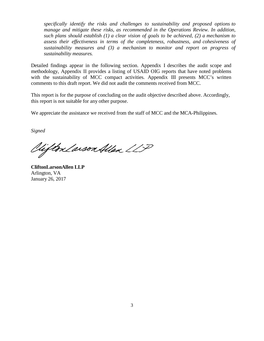*specifically identify the risks and challenges to sustainability and proposed options to manage and mitigate these risks, as recommended in the Operations Review. In addition, such plans should establish (1) a clear vision of goals to be achieved, (2) a mechanism to assess their effectiveness in terms of the completeness, robustness, and cohesiveness of sustainability measures and (3) a mechanism to monitor and report on progress of sustainability measures.*

Detailed findings appear in the following section. Appendix I describes the audit scope and methodology, Appendix II provides a listing of USAID OIG reports that have noted problems with the sustainability of MCC compact activities. Appendix III presents MCC's written comments to this draft report. We did not audit the comments received from MCC.

This report is for the purpose of concluding on the audit objective described above. Accordingly, this report is not suitable for any other purpose.

We appreciate the assistance we received from the staff of MCC and the MCA-Philippines.

*Signed*

Uifton Larson Allen LLP

**CliftonLarsonAllen LLP** Arlington, VA January 26, 2017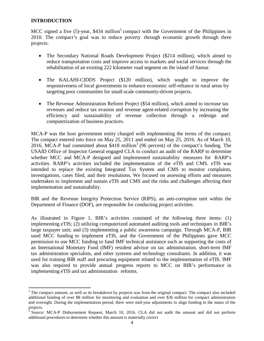#### **INTRODUCTION**

MCC signed a five  $(5)$ -year, \$434 million<sup>2</sup> compact with the Government of the Philippines in 2010. The compact's goal was to reduce poverty through economic growth through three projects:

- The Secondary National Roads Development Project (\$214 million), which aimed to reduce transportation costs and improve access to markets and social services through the rehabilitation of an existing 222 kilometer road segment on the island of Samar.
- The KALAHI-CIDDS Project (\$120 million), which sought to improve the responsiveness of local governments to enhance economic self-reliance in rural areas by targeting poor communities for small-scale community-driven projects.
- The Revenue Administration Reform Project (\$54 million), which aimed to increase tax revenues and reduce tax evasion and revenue agent-related corruption by increasing the efficiency and sustainability of revenue collection through a redesign and computerization of business practices.

MCA-P was the host government entity charged with implementing the terms of the compact. The compact entered into force on May 25, 2011 and ended on May 25, 2016. As of March 10, 2016, MCA-P had committed about  $$418$  million<sup>3</sup> (96 percent) of the compact's funding. The USAID Office of Inspector General engaged CLA to conduct an audit of the RARP to determine whether MCC and MCA-P designed and implemented sustainability measures for RARP's activities. RARP's activities included the implementation of the eTIS and CMS. eTIS was intended to replace the existing Integrated Tax System and CMS to monitor complaints, investigations, cases filed, and their resolutions. We focused on assessing efforts and measures undertaken to implement and sustain eTIS and CMS and the risks and challenges affecting their implementation and sustainability.

BIR and the Revenue Integrity Protection Service (RIPS), an anti-corruption unit within the Department of Finance (DOF), are responsible for conducting project activities.

As illustrated in Figure 1, BIR's activities consisted of the following three items: (1) implementing eTIS; (2) utilizing computerized automated auditing tools and techniques in BIR's large taxpayer unit; and (3) implementing a public awareness campaign. Through MCA-P, BIR used MCC funding to implement eTIS, and the Government of the Philippines gave MCC permission to use MCC funding to fund IMF technical assistance such as supporting the costs of an International Monetary Fund (IMF) resident advisor on tax administration, short-term IMF tax administration specialists, and other systems and technology consultants. In addition, it was used for training BIR staff and procuring equipment related to the implementation of eTIS. IMF was also required to provide annual progress reports to MCC on BIR's performance in implementing eTIS and tax administration reforms.

<span id="page-8-0"></span><sup>&</sup>lt;sup>2</sup> The compact amount, as well as its breakdown by projects was from the original compact. The compact also included additional funding of over \$8 million for monitoring and evaluation and over \$36 million for compact administration and oversight. During the implementation period, there were mid-year adjustments to align funding to the status of the projects.

<span id="page-8-1"></span><sup>3</sup> Source: MCA-P Disbursement Request, March 10, 2016. CLA did not audit the amount and did not perform additional procedures to determine whether this amount is materially correct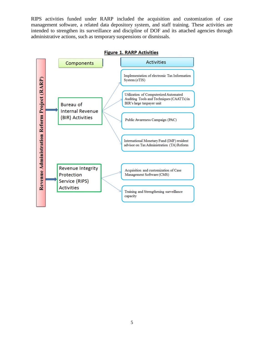<span id="page-9-0"></span>RIPS activities funded under RARP included the acquisition and customization of case management software, a related data depository system, and staff training. These activities are intended to strengthen its surveillance and discipline of DOF and its attached agencies through administrative actions, such as temporary suspensions or dismissals.



**Figure 1. RARP Activities**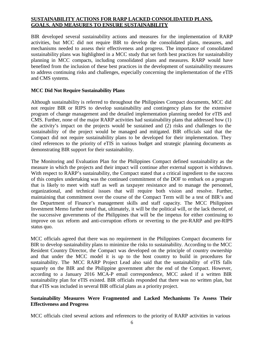# **SUSTAINABILITY ACTIONS FOR RARP LACKED CONSOLIDATED PLANS, GOALS, AND MEASURES TO ENSURE SUSTAINABILITY**

BIR developed several sustainability actions and measures for the implementation of RARP activities, but MCC did not require BIR to develop the consolidated plans, measures, and mechanisms needed to assess their effectiveness and progress. The importance of consolidated sustainability plans was highlighted in a MCC study that set forth best practices for sustainability planning in MCC compacts, including consolidated plans and measures. RARP would have benefited from the inclusion of these best practices in the development of sustainability measures to address continuing risks and challenges, especially concerning the implementation of the eTIS and CMS systems.

#### **MCC Did Not Require Sustainability Plans**

Although sustainability is referred to throughout the Philippines Compact documents, MCC did not require BIR or RIPS to develop sustainability and contingency plans for the extensive program of change management and the detailed implementation planning needed for eTIS and CMS. Further, none of the major RARP activities had sustainability plans that addressed how (1) the activity's impact on the projects would be sustained and (2) risks and challenges to the sustainability of the project would be managed and mitigated. BIR officials said that the Compact did not require sustainability plans to be developed for their implementation. They cited references to the priority of eTIS in various budget and strategic planning documents as demonstrating BIR support for their sustainability.

The Monitoring and Evaluation Plan for the Philippines Compact defined sustainability as the measure in which the projects and their impact will continue after external support is withdrawn. With respect to RARP's sustainability, the Compact stated that a critical ingredient to the success of this complex undertaking was the continued commitment of the DOF to embark on a program that is likely to meet with staff as well as taxpayer resistance and to manage the personnel, organizational, and technical issues that will require both vision and resolve. Further, maintaining that commitment over the course of the Compact Term will be a test of BIR's and the Department of Finance's management skills and staff capacity. The MCC Philippines Investment Memo further noted that, ultimately, it will be the political will, or the lack thereof, of the successive governments of the Philippines that will be the impetus for either continuing to improve on tax reform and anti-corruption efforts or reverting to the pre-RARP and pre-RIPS status quo.

MCC officials agreed that there was no requirement in the Philippines Compact documents for BIR to develop sustainability plans to minimize the risks to sustainability. According to the MCC Resident Country Director, the Compact was developed on the principle of country ownership and that under the MCC model it is up to the host country to build in procedures for sustainability. The MCC RARP Project Lead also said that the sustainability of eTIS falls squarely on the BIR and the Philippine government after the end of the Compact. However, according to a January 2016 MCA-P email correspondence, MCC asked if a written BIR sustainability plan for eTIS existed. BIR officials responded that there was no written plan, but that eTIS was included in several BIR official plans as a priority project.

# **Sustainability Measures Were Fragmented and Lacked Mechanisms To Assess Their Effectiveness and Progress**

MCC officials cited several actions and references to the priority of RARP activities in various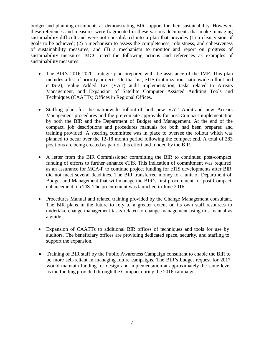budget and planning documents as demonstrating BIR support for their sustainability. However, these references and measures were fragmented in these various documents that make managing sustainability difficult and were not consolidated into a plan that provides (1) a clear vision of goals to be achieved; (2) a mechanism to assess the completeness, robustness, and cohesiveness of sustainability measures; and (3) a mechanism to monitor and report on progress of sustainability measures. MCC cited the following actions and references as examples of sustainability measures:

- The BIR's 2016-2020 strategic plan prepared with the assistance of the IMF. This plan includes a list of priority projects. On that list, eTIS (optimization, nationwide rollout and eTIS-2), Value Added Tax (VAT) audit implementation, tasks related to Arrears Management, and Expansion of Satellite Computer Assisted Auditing Tools and Techniques (CAATTs) Offices in Regional Offices.
- Staffing plans for the nationwide rollout of both new VAT Audit and new Arrears Management procedures and the prerequisite approvals for post-Compact implementation by both the BIR and the Department of Budget and Management. At the end of the compact, job descriptions and procedures manuals for both had been prepared and training provided. A steering committee was in place to oversee the rollout which was planned to occur over the 12-18 month period following the compact end. A total of 283 positions are being created as part of this effort and funded by the BIR.
- A letter from the BIR Commissioner committing the BIR to continued post-compact funding of efforts to further enhance eTIS. This indication of commitment was required as an assurance for MCA-P to continue project funding for eTIS developments after BIR did not meet several deadlines. The BIR transferred money to a unit of Department of Budget and Management that will manage the BIR's first procurement for post-Compact enhancement of eTIS. The procurement was launched in June 2016.
- Procedures Manual and related training provided by the Change Management consultant. The BIR plans in the future to rely to a greater extent on its own staff resources to undertake change management tasks related to change management using this manual as a guide.
- Expansion of CAATTs to additional BIR offices of techniques and tools for use by auditors. The beneficiary offices are providing dedicated space, security, and staffing to support the expansion.
- Training of BIR staff by the Public Awareness Campaign consultant to enable the BIR to be more self-reliant in managing future campaigns. The BIR's budget request for 2017 would maintain funding for design and implementation at approximately the same level as the funding provided through the Compact during the 2016 campaign.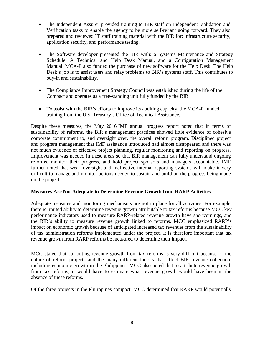- The Independent Assurer provided training to BIR staff on Independent Validation and Verification tasks to enable the agency to be more self-reliant going forward. They also prepared and reviewed IT staff training material with the BIR for: infrastructure security, application security, and performance testing.
- The Software developer presented the BIR with: a Systems Maintenance and Strategy Schedule, A Technical and Help Desk Manual, and a Configuration Management Manual. MCA-P also funded the purchase of new software for the Help Desk. The Help Desk's job is to assist users and relay problems to BIR's systems staff. This contributes to buy-in and sustainability.
- The Compliance Improvement Strategy Council was established during the life of the Compact and operates as a free-standing unit fully funded by the BIR.
- To assist with the BIR's efforts to improve its auditing capacity, the MCA-P funded training from the U.S. Treasury's Office of Technical Assistance.

Despite these measures, the May 2016 IMF annual progress report noted that in terms of sustainability of reforms, the BIR's management practices showed little evidence of cohesive corporate commitment to, and oversight over, the overall reform program. Disciplined project and program management that IMF assistance introduced had almost disappeared and there was not much evidence of effective project planning, regular monitoring and reporting on progress. Improvement was needed in these areas so that BIR management can fully understand ongoing reforms, monitor their progress, and hold project sponsors and managers accountable. IMF further noted that weak oversight and ineffective internal reporting systems will make it very difficult to manage and monitor actions needed to sustain and build on the progress being made on the project.

# **Measures Are Not Adequate to Determine Revenue Growth from RARP Activities**

Adequate measures and monitoring mechanisms are not in place for all activities. For example, there is limited ability to determine revenue growth attributable to tax reforms because MCC key performance indicators used to measure RARP-related revenue growth have shortcomings, and the BIR's ability to measure revenue growth linked to reforms. MCC emphasized RARP's impact on economic growth because of anticipated increased tax revenues from the sustainability of tax administration reforms implemented under the project. It is therefore important that tax revenue growth from RARP reforms be measured to determine their impact.

MCC stated that attributing revenue growth from tax reforms is very difficult because of the nature of reform projects and the many different factors that affect BIR revenue collection, including economic growth in the Philippines. MCC also noted that to attribute revenue growth from tax reforms, it would have to estimate what revenue growth would have been in the absence of these reforms.

Of the three projects in the Philippines compact, MCC determined that RARP would potentially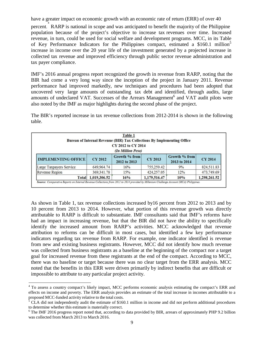have a greater impact on economic growth with an economic rate of return (ERR) of over [4](#page-13-0)0

percent. RARP is national in scope and was anticipated to benefit the majority of the Philippine population because of the project's objective to increase tax revenues over time. Increased revenue, in turn, could be used for social welfare and development programs. MCC, in its Table of Key Performance Indicators for the Philippines compact, estimated a \$160.1 million<sup>5</sup> increase in income over the 20 year life of the investment generated by a projected increase in collected tax revenue and improved efficiency through public sector revenue administration and tax payer compliance.

IMF's 2016 annual progress report recognized the growth in revenue from RARP, noting that the BIR had come a very long way since the inception of the project in January 2011. Revenue performance had improved markedly, new techniques and procedures had been adopted that uncovered very large amounts of outstanding tax debt and identified, through audits, large amounts of undeclared VAT. Successes of the Arrears Management<sup>6</sup> and VAT audit pilots were also noted by the IMF as major highlights during the second phase of the project.

The BIR's reported increase in tax revenue collections from 2012-2014 is shown in the following table.

|                            |                | Table 1<br>Bureau of Internal Revenue (BIR) Tax Collections By Implementing Office<br>CY 2012 to CY 2014<br>(In Million Peso) |                |                               |                |
|----------------------------|----------------|-------------------------------------------------------------------------------------------------------------------------------|----------------|-------------------------------|----------------|
| <b>IMPLEMENTING OFFICE</b> | <b>CY 2012</b> | Growth % from<br>2012 to 2013                                                                                                 | <b>CY 2013</b> | Growth % from<br>2013 to 2014 | <b>CY 2014</b> |
| Large Taxpayers Service    | 649,964.74     | 16%                                                                                                                           | 755,259.42     | 9%                            | 824,511.83     |
| <b>Revenue Region</b>      | 369, 341, 78   | 15%                                                                                                                           | 424,257.05     | 12%                           | 473,749.69     |
| <b>Total</b>               | 1,019,306.52   | 16%                                                                                                                           | 1,179,516.47   | 10%                           | 1,298,261.52   |

As shown in Table 1, tax revenue collections increased by16 percent from 2012 to 2013 and by 10 percent from 2013 to 2014. However, what portion of this revenue growth was directly attributable to RARP is difficult to substantiate. IMF consultants said that IMF's reforms have had an impact in increasing revenue, but that the BIR did not have the ability to specifically identify the increased amount from RARP's activities. MCC acknowledged that revenue attribution to reforms can be difficult in most cases, but identified a few key performance indicators regarding tax revenue from RARP. For example, one indicator identified is revenue from new and existing business registrants. However, MCC did not identify how much revenue was collected from business registrants as a baseline at the beginning of the compact nor a target goal for increased revenue from these registrants at the end of the compact. According to MCC, there was no baseline or target because there was no clear target from the ERR analysis. MCC noted that the benefits in this ERR were driven primarily by indirect benefits that are difficult or impossible to attribute to any particular project activity.

<span id="page-13-0"></span><sup>&</sup>lt;sup>4</sup> To assess a country compact's likely impact, MCC performs economic analysis estimating the compact's ERR and effects on income and poverty. The ERR analysis provides an estimate of the total increase in incomes attributable to a proposed MCC-funded activity relative to the total costs.

<span id="page-13-1"></span> $5$  CLA did not independently audit the estimate of \$160.1 million in income and did not perform additional procedures to determine whether this estimate is materially correct.<br><sup>6</sup> The IMF 2016 progress report noted that, according to data provided by BIR, arrears of approximately PHP 9.2 billion

<span id="page-13-2"></span>was collected from March 2013 to March 2016.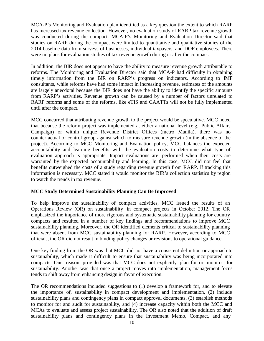MCA-P's Monitoring and Evaluation plan identified as a key question the extent to which RARP has increased tax revenue collection. However, no evaluation study of RARP tax revenue growth was conducted during the compact. MCA-P's Monitoring and Evaluation Director said that studies on RARP during the compact were limited to quantitative and qualitative studies of the 2014 baseline data from surveys of businesses, individual taxpayers, and DOF employees. There were no plans for evaluation studies of tax revenue growth during or after the compact.

In addition, the BIR does not appear to have the ability to measure revenue growth attributable to reforms. The Monitoring and Evaluation Director said that MCA-P had difficulty in obtaining timely information from the BIR on RARP's progress on indicators. According to IMF consultants, while reforms have had some impact in increasing revenue, estimates of the amounts are largely anecdotal because the BIR does not have the ability to identify the specific amounts from RARP's activities. Revenue growth can be caused by a number of factors unrelated to RARP reforms and some of the reforms, like eTIS and CAATTs will not be fully implemented until after the compact.

MCC concurred that attributing revenue growth to the project would be speculative. MCC noted that because the reform project was implemented at either a national level (e.g., Public Affairs Campaign) or within unique Revenue District Offices (metro Manila), there was no counterfactual or control group against which to measure revenue growth (in the absence of the project). According to MCC Monitoring and Evaluation policy, MCC balances the expected accountability and learning benefits with the evaluation costs to determine what type of evaluation approach is appropriate. Impact evaluations are performed when their costs are warranted by the expected accountability and learning. In this case, MCC did not feel that benefits outweighed the costs of a study regarding revenue growth from RARP. If tracking this information is necessary, MCC stated it would monitor the BIR's collection statistics by region to watch the trends in tax revenue.

# **MCC Study Determined Sustainability Planning Can Be Improved**

To help improve the sustainability of compact activities, MCC issued the results of an Operations Review (OR) on sustainability in compact projects in October 2012. The OR emphasized the importance of more rigorous and systematic sustainability planning for country compacts and resulted in a number of key findings and recommendations to improve MCC sustainability planning. Moreover, the OR identified elements critical to sustainability planning that were absent from MCC sustainability planning for RARP. However, according to MCC officials, the OR did not result in binding policy changes or revisions to operational guidance.

One key finding from the OR was that MCC did not have a consistent definition or approach to sustainability, which made it difficult to ensure that sustainability was being incorporated into compacts. One reason provided was that MCC does not explicitly plan for or monitor for sustainability. Another was that once a project moves into implementation, management focus tends to shift away from enhancing design in favor of execution.

The OR recommendations included suggestions to (1) develop a framework for, and to elevate the importance of, sustainability in compact development and implementation, (2) include sustainability plans and contingency plans in compact approval documents, (3) establish methods to monitor for and audit for sustainability, and (4) increase capacity within both the MCC and MCAs to evaluate and assess project sustainability. The OR also noted that the addition of draft sustainability plans and contingency plans in the Investment Memo, Compact, and any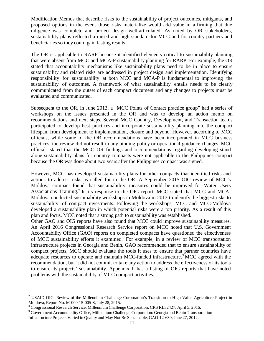Modification Memos that describe risks to the sustainability of project outcomes, mitigants, and proposed options in the event those risks materialize would add value in affirming that due diligence was complete and project design well-articulated. As noted by OR stakeholders, sustainability plans reflected a raised and high standard for MCC and for country partners and beneficiaries so they could gain lasting results.

The OR is applicable to RARP because it identified elements critical to sustainability planning that were absent from MCC and MCA-P sustainability planning for RARP. For example, the OR stated that accountability mechanisms like sustainability plans need to be in place to ensure sustainability and related risks are addressed in project design and implementation. Identifying responsibility for sustainability at both MCC and MCA-P is fundamental to improving the sustainability of outcomes. A framework of what sustainability entails needs to be clearly communicated from the outset of each compact document and any changes to projects must be evaluated and communicated.

Subsequent to the OR, in June 2013, a "MCC Points of Contact practice group" had a series of workshops on the issues presented in the OR and was to develop an action memo on recommendations and next steps. Several MCC Country, Development, and Transaction teams participated to develop best practices and incorporate sustainability planning into the compact lifespan, from development to implementation, closure and beyond. However, according to MCC officials, while some of the OR recommendations have been incorporated in MCC business practices, the review did not result in any binding policy or operational guidance changes. MCC officials stated that the MCC OR findings and recommendations regarding developing standalone sustainability plans for country compacts were not applicable to the Philippines compact because the OR was done about two years after the Philippines compact was signed.

However, MCC has developed sustainability plans for other compacts that identified risks and actions to address risks as called for in the OR. A September 2015 OIG review of MCC's Moldova compact found that sustainability measures could be improved for Water Users Associations Training.<sup>7</sup> In its response to the OIG report, MCC stated that MCC and MCA-Moldova conducted sustainability workshops in Moldova in 2013 to identify the biggest risks to sustainability of compact investments. Following the workshops, MCC and MCC-Moldova developed a sustainability plan in which potential risks were a top priority. As a result of this plan and focus, MCC noted that a strong path to sustainability was established.

Other GAO and OIG reports have also found that MCC could improve sustainability measures. An April 2016 Congressional Research Service report on MCC noted that U.S. Government Accountability Office (GAO) reports on completed compacts have questioned the effectiveness of MCC sustainability efforts it examined[.8](#page-15-1) For example, in a review of MCC transportation infrastructure projects in Georgia and Benin, GAO recommended that to ensure sustainability of compact projects, MCC should evaluate the tools it uses to ensure that partner countries have adequate resources to operate and maintain MCC-funded infrastructure.<sup>9</sup> MCC agreed with the recommendation, but it did not commit to take any action to address the effectiveness of its tools to ensure its projects' sustainability. Appendix II has a listing of OIG reports that have noted problems with the sustainability of MCC compact activities.

<span id="page-15-0"></span><sup>&</sup>lt;sup>7</sup> USAID OIG, Review of the Millennium Challenge Corporation's Transition to High-Value Agriculture Project in Moldova, Report No. M-000-15-005-S, July 28, 2015.

<span id="page-15-1"></span> $^8$  Congressional Research Service, Millennium Challenge Corporation, CRS RL32427, April 5, 2016.

<span id="page-15-2"></span><sup>&</sup>lt;sup>9</sup> Government Accountability Office, Millennium Challenge Corporation: Georgia and Benin Transportation Infrastructure Projects Varied in Quality and May Not Be Sustainable, GAO-12-630, June 27, 2012.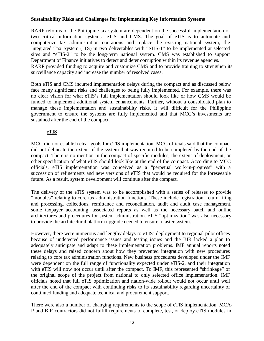# **Sustainability Risks and Challenges for Implementing Key Information Systems**

RARP reforms of the Philippine tax system are dependent on the successful implementation of two critical information systems—eTIS and CMS. The goal of eTIS is to automate and computerize tax administration operations and replace the existing national system, the Integrated Tax System (ITS) in two deliverables with "eTIS-1" to be implemented at selected sites and "eTIS-2" to be the long-term national system. CMS was established to support Department of Finance initiatives to detect and deter corruption within its revenue agencies. RARP provided funding to acquire and customize CMS and to provide training to strengthen its surveillance capacity and increase the number of resolved cases.

Both eTIS and CMS incurred implementation delays during the compact and as discussed below face many significant risks and challenges to being fully implemented. For example, there was no clear vision for what eTIS's full implementation should look like or how CMS would be funded to implement additional system enhancements. Further, without a consolidated plan to manage these implementation and sustainability risks, it will difficult for the Philippine government to ensure the systems are fully implemented and that MCC's investments are sustained after the end of the compact.

# **eTIS**

MCC did not establish clear goals for eTIS implementation. MCC officials said that the compact did not delineate the extent of the system that was required to be completed by the end of the compact. There is no mention in the compact of specific modules, the extent of deployment, or other specification of what eTIS should look like at the end of the compact. According to MCC officials, eTIS implementation was conceived as a "perpetual work-in-progress" with a succession of refinements and new versions of eTIS that would be required for the foreseeable future. As a result, system development will continue after the compact.

The delivery of the eTIS system was to be accomplished with a series of releases to provide "modules" relating to core tax administration functions. These include registration, return filing and processing, collections, remittance and reconciliation, audit and audit case management, some taxpayer accounting, associated reports as well as the necessary batch and online architectures and procedures for system administration. eTIS "optimization" was also necessary to provide the architectural platform upgrade needed to ensure a faster system.

However, there were numerous and lengthy delays to eTIS' deployment to regional pilot offices because of undetected performance issues and testing issues and the BIR lacked a plan to adequately anticipate and adapt to these implementation problems. IMF annual reports noted these delays and raised concern about how they prevented integration with new procedures relating to core tax administration functions. New business procedures developed under the IMF were dependent on the full range of functionality expected under eTIS-2, and their integration with eTIS will now not occur until after the compact. To IMF, this represented "shrinkage" of the original scope of the project from national to only selected office implementation. IMF officials noted that full eTIS optimization and nation-wide rollout would not occur until well after the end of the compact with continuing risks to its sustainability regarding uncertainty of continued funding and adequate technical and procurement support.

There were also a number of changing requirements to the scope of eTIS implementation. MCA-P and BIR contractors did not fulfill requirements to complete, test, or deploy eTIS modules in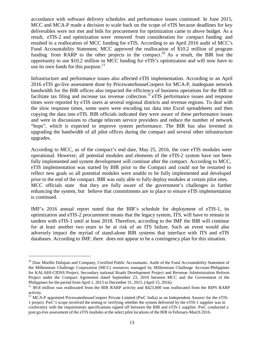accordance with software delivery schedules and performance issues continued. In June 2015, MCC and MCA-P made a decision to scale back on the scope of eTIS because deadlines for key deliverables were not met and bids for procurement for optimization came in above budget. As a result, eTIS-2 and optimization were removed from consideration for compact funding and resulted in a reallocation of MCC funding for eTIS. According to an April 2016 audit of MCC's Fund Accountability Statement, MCC approved the reallocation of \$10.2 million of program funding from RARP to the other projects in the compact.<sup>10</sup> As a result, the BIR lost the opportunity to use \$10.2 million in MCC funding for eTIS's optimization and will now have to use its own funds for this purpose. $11$ 

Infrastructure and performance issues also affected eTIS implementation. According to an April 2016 eTIS go-live assessment done by PricewaterhouseCoopers for MCA-P, inadequate network bandwidth for the BIR offices also impacted the efficiency of business operations for the BIR to facilitate tax filing and increase tax revenue collection.<sup>12</sup> eTIS performance issues and response times were reported by eTIS users at several regional districts and revenue regions. To deal with the slow response times, some users were encoding tax data into Excel spreadsheets and then copying the data into eTIS. BIR officials indicated they were aware of these performance issues and were in discussions to change telecom service providers and reduce the number of network "hops", which is expected to improve system performance. The BIR has also invested in upgrading the bandwidth of all pilot offices during the compact and several other infrastructure upgrades.

According to MCC, as of the compact's end date, May 25, 2016, the core eTIS modules were operational. However, all potential modules and elements of the eTIS-2 system have not been fully implemented and system development will continue after the compact. According to MCC, eTIS implementation was started by BIR prior to the Compact and could not be restarted to reflect new goals so all potential modules were unable to be fully implemented and developed prior to the end of the compact. BIR was only able to fully deploy modules at certain pilot sites. MCC officials state that they are fully aware of the government's challenges in further enhancing the system, but believe that commitments are in place to ensure eTIS implementation is continued.

IMF's 2016 annual report noted that the BIR's schedule for deployment of eTIS-1, its optimization and eTIS-2 procurement means that the legacy system, ITS, will have to remain in tandem with eTIS-1 until at least 2018. Therefore, according to the IMF the BIR will continue for at least another two years to be at risk of an ITS failure. Such an event would also adversely impact the myriad of stand-alone BIR systems that interface with ITS and eTIS databases. According to IMF, there does not appear to be a contingency plan for this situation.

<span id="page-17-0"></span> $10$  Diaz Murillo Dalupan and Company, Certified Public Accountants. Audit of the Fund Accountability Statement of the Millennium Challenge Corporation (MCC) resources managed by Millennium Challenge Account-Philippines for KALAHI-CIDSS Project, Secondary national Roads Development Project and Revenue Administration Reform Project under the Compact Agreement dated September 23, 2010 between MCC and the Government of the Philippines for the period from April 1, 2015 to December 31, 2015. (April 15, 2016).

<span id="page-17-1"></span><sup>&</sup>lt;sup>11</sup> \$9.8 million was reallocated from the BIR RARP activity and \$423,000 was reallocated from the RIPS RARP activity.

<span id="page-17-2"></span><sup>&</sup>lt;sup>12</sup> MCA-P appointed PricewaterhouseCoopers Private Limited (PwC India) as an Independent Assurer for the eTIS-1 project. PwC's scope involved the testing or verifying whether the system delivered by the eTIS-1 supplier was in conformity with the requirements specifications signed off between the BIR and eTIS-1 supplier. PwC conducted a post go-live assessment of the eTIS modules at the select pilot locations of the BIR in February-March 2016.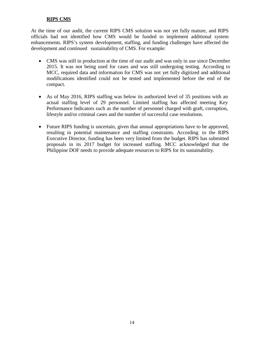# **RIPS CMS**

At the time of our audit, the current RIPS CMS solution was not yet fully mature, and RIPS officials had not identified how CMS would be funded to implement additional system enhancements. RIPS's system development, staffing, and funding challenges have affected the development and continued sustainability of CMS. For example:

- CMS was still in production at the time of our audit and was only in use since December 2015. It was not being used for cases and was still undergoing testing. According to MCC, required data and information for CMS was not yet fully digitized and additional modifications identified could not be tested and implemented before the end of the compact.
- As of May 2016, RIPS staffing was below its authorized level of 35 positions with an actual staffing level of 29 personnel. Limited staffing has affected meeting Key Performance Indicators such as the number of personnel charged with graft, corruption, lifestyle and/or criminal cases and the number of successful case resolutions.
- Future RIPS funding is uncertain, given that annual appropriations have to be approved, resulting in potential maintenance and staffing constraints. According to the RIPS Executive Director, funding has been very limited from the budget. RIPS has submitted proposals in its 2017 budget for increased staffing. MCC acknowledged that the Philippine DOF needs to provide adequate resources to RIPS for its sustainability.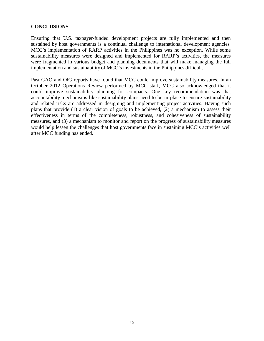#### **CONCLUSIONS**

Ensuring that U.S. taxpayer-funded development projects are fully implemented and then sustained by host governments is a continual challenge to international development agencies. MCC's implementation of RARP activities in the Philippines was no exception. While some sustainability measures were designed and implemented for RARP's activities, the measures were fragmented in various budget and planning documents that will make managing the full implementation and sustainability of MCC's investments in the Philippines difficult.

Past GAO and OIG reports have found that MCC could improve sustainability measures. In an October 2012 Operations Review performed by MCC staff, MCC also acknowledged that it could improve sustainability planning for compacts. One key recommendation was that accountability mechanisms like sustainability plans need to be in place to ensure sustainability and related risks are addressed in designing and implementing project activities. Having such plans that provide (1) a clear vision of goals to be achieved, (2) a mechanism to assess their effectiveness in terms of the completeness, robustness, and cohesiveness of sustainability measures, and (3) a mechanism to monitor and report on the progress of sustainability measures would help lessen the challenges that host governments face in sustaining MCC's activities well after MCC funding has ended.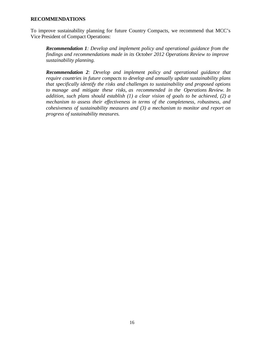#### **RECOMMENDATIONS**

To improve sustainability planning for future Country Compacts, we recommend that MCC's Vice President of Compact Operations:

*Recommendation 1: Develop and implement policy and operational guidance from the findings and recommendations made in its October 2012 Operations Review to improve sustainability planning.*

*Recommendation 2: Develop and implement policy and operational guidance that require countries in future compacts to develop and annually update sustainability plans that specifically identify the risks and challenges to sustainability and proposed options to manage and mitigate these risks, as recommended in the Operations Review. In addition, such plans should establish (1) a clear vision of goals to be achieved, (2) a mechanism to assess their effectiveness in terms of the completeness, robustness, and cohesiveness of sustainability measures and (3) a mechanism to monitor and report on progress of sustainability measures.*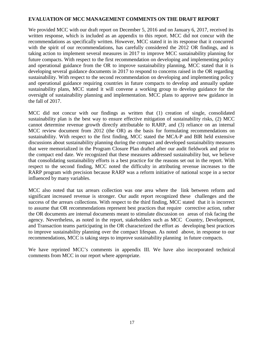## **EVALUATION OF MCC MANAGEMENT COMMENTS ON THE DRAFT REPORT**

We provided MCC with our draft report on December 5, 2016 and on January 6, 2017, received its written response, which is included as an appendix to this report. MCC did not concur with the recommendations as specifically written. However, MCC stated it in its response that it concurred with the spirit of our recommendations, has carefully considered the 2012 OR findings, and is taking action to implement several measures in 2017 to improve MCC sustainability planning for future compacts. With respect to the first recommendation on developing and implementing policy and operational guidance from the OR to improve sustainability planning, MCC stated that it is developing several guidance documents in 2017 to respond to concerns raised in the OR regarding sustainability. With respect to the second recommendation on developing and implementing policy and operational guidance requiring countries in future compacts to develop and annually update sustainability plans, MCC stated it will convene a working group to develop guidance for the oversight of sustainability planning and implementation. MCC plans to approve new guidance in the fall of 2017.

MCC did not concur with our findings as written that (1) creation of single, consolidated sustainability plan is the best way to ensure effective mitigation of sustainability risks, (2) MCC cannot determine revenue growth directly attributable to RARP, and (3) reliance on an internal MCC review document from 2012 (the OR) as the basis for formulating recommendations on sustainability. With respect to the first finding, MCC stated the MCA-P and BIR held extensive discussions about sustainability planning during the compact and developed sustainability measures that were memorialized in the Program Closure Plan drafted after our audit fieldwork and prior to the compact end date. We recognized that these measures addressed sustainability but, we believe that consolidating sustainability efforts is a best practice for the reasons set out in the report. With respect to the second finding, MCC noted the difficulty in attributing revenue increases to the RARP program with precision because RARP was a reform initiative of national scope in a sector influenced by many variables.

MCC also noted that tax arrears collection was one area where the link between reform and significant increased revenue is stronger. Our audit report recognized these challenges and the success of the arrears collections. With respect to the third finding, MCC stated that it is incorrect to assume that OR recommendations represent best practices that require corrective action, rather the OR documents are internal documents meant to stimulate discussion on areas of risk facing the agency. Nevertheless, as noted in the report, stakeholders such as MCC Country, Development, and Transaction teams participating in the OR characterized the effort as developing best practices to improve sustainability planning over the compact lifespan. As noted above, in response to our recommendations, MCC is taking steps to improve sustainability planning in future compacts.

We have reprinted MCC's comments in appendix III. We have also incorporated technical comments from MCC in our report where appropriate.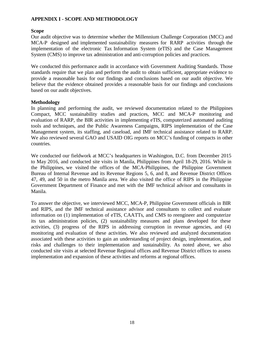# **APPENDIX I - SCOPE AND METHODOLOGY**

#### **Scope**

Our audit objective was to determine whether the Millennium Challenge Corporation (MCC) and MCA-P designed and implemented sustainability measures for RARP activities through the implementation of the electronic Tax Information System (eTIS) and the Case Management System (CMS) to improve tax administration and anti-corruption policies and practices.

We conducted this performance audit in accordance with Government Auditing Standards. Those standards require that we plan and perform the audit to obtain sufficient, appropriate evidence to provide a reasonable basis for our findings and conclusions based on our audit objective. We believe that the evidence obtained provides a reasonable basis for our findings and conclusions based on our audit objectives.

#### **Methodology**

In planning and performing the audit, we reviewed documentation related to the Philippines Compact, MCC sustainability studies and practices, MCC and MCA-P monitoring and evaluation of RARP, the BIR activities in implementing eTIS, computerized automated auditing tools and techniques, and the Public Awareness Campaigns, RIPS implementation of the Case Management system, its staffing, and caseload, and IMF technical assistance related to RARP. We also reviewed several GAO and USAID OIG reports on MCC's funding of compacts in other countries.

We conducted our fieldwork at MCC's headquarters in Washington, D.C. from December 2015 to May 2016, and conducted site visits in Manila, Philippines from April 18-29, 2016. While in the Philippines, we visited the offices of the MCA-Philippines, the Philippine Government Bureau of Internal Revenue and its Revenue Regions 5, 6, and 8, and Revenue District Offices 47, 49, and 50 in the metro Manila area. We also visited the office of RIPS in the Philippine Government Department of Finance and met with the IMF technical advisor and consultants in Manila.

To answer the objective, we interviewed MCC, MCA-P, Philippine Government officials in BIR and RIPS, and the IMF technical assistance advisor and consultants to collect and evaluate information on (1) implementation of eTIS, CAATTs, and CMS to reengineer and computerize its tax administration policies, (2) sustainability measures and plans developed for these activities, (3) progress of the RIPS in addressing corruption in revenue agencies, and (4) monitoring and evaluation of these activities. We also reviewed and analyzed documentation associated with these activities to gain an understanding of project design, implementation, and risks and challenges to their implementation and sustainability. As noted above, we also conducted site visits at selected Revenue Regional offices and Revenue District offices to assess implementation and expansion of these activities and reforms at regional offices.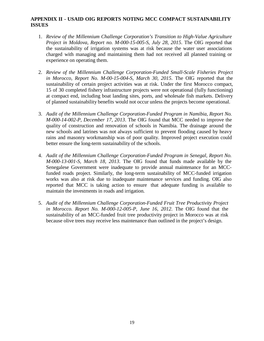# **APPENDIX II - USAID OIG REPORTS NOTING MCC COMPACT SUSTAINABILITY ISSUES**

- 1. *Review of the Millennium Challenge Corporation's Transition to High-Value Agriculture Project in Moldova, Report no. M-000-15-005-S, July 28, 2015*. The OIG reported that the sustainability of irrigation systems was at risk because the water user associations charged with managing and maintaining them had not received all planned training or experience on operating them.
- 2. *Review of the Millennium Challenge Corporation-Funded Small-Scale Fisheries Project in Morocco, Report No. M-00-15-004-S, March 30, 2015*. The OIG reported that the sustainability of certain project activities was at risk. Under the first Morocco compact, 15 of 30 completed fishery infrastructure projects were not operational (fully functioning) at compact end, including boat landing sites, ports, and wholesale fish markets. Delivery of planned sustainability benefits would not occur unless the projects become operational.
- 3. *Audit of the Millennium Challenge Corporation-Funded Program in Namibia, Report No. M-000-14-002-P, December 17, 2013*. The OIG found that MCC needed to improve the quality of construction and renovation of schools in Namibia. The drainage around the new schools and latrines was not always sufficient to prevent flooding caused by heavy rains and masonry workmanship was of poor quality. Improved project execution could better ensure the long-term sustainability of the schools.
- 4. *Audit of the Millennium Challenge Corporation-Funded Program in Senegal, Report No. M-000-13-001-S, March 18, 2013*. The OIG found that funds made available by the Senegalese Government were inadequate to provide annual maintenance for an MCCfunded roads project. Similarly, the long-term sustainability of MCC-funded irrigation works was also at risk due to inadequate maintenance services and funding. OIG also reported that MCC is taking action to ensure that adequate funding is available to maintain the investments in roads and irrigation.
- 5. *Audit of the Millennium Challenge Corporation-Funded Fruit Tree Productivity Project in Morocco. Report No. M-000-12-005-P, June 16, 2012*. The OIG found that the sustainability of an MCC-funded fruit tree productivity project in Morocco was at risk because olive trees may receive less maintenance than outlined in the project's design.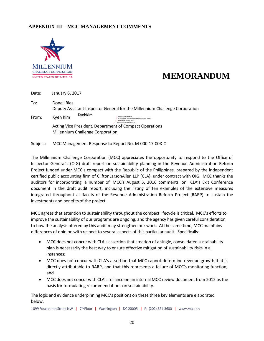# **APPENDIX III – MCC MANAGEMENT COMMENTS**



# **MEMORANDUM**

| Date: | January 6, 2017                                                                                                                                                         |  |  |  |  |
|-------|-------------------------------------------------------------------------------------------------------------------------------------------------------------------------|--|--|--|--|
| To:   | Donell Ries<br>Deputy Assistant Inspector General for the Millennium Challenge Corporation                                                                              |  |  |  |  |
| From: | KvehKim<br>Kyeh Kim<br>DigitallysignedbyKyehKim<br>DN:cn=KyehKim,o=MillenniumChallengeCorporation, ou=DCO,<br>email=kimk@mcc.gov,c=US<br>Date:2017.01.0616:16:01-05'00' |  |  |  |  |
|       | Acting Vice President, Department of Compact Operations<br>Millennium Challenge Corporation                                                                             |  |  |  |  |

Subject: MCC Management Response to Report No. M-000-17-00X-C

The Millennium Challenge Corporation (MCC) appreciates the opportunity to respond to the Office of Inspector General's (OIG) draft report on sustainability planning in the Revenue Administration Reform Project funded under MCC's compact with the Republic of the Philippines, prepared by the independent certified public accounting firm of CliftonLarsonAllen LLP (CLA), under contract with OIG. MCC thanks the auditors for incorporating a number of MCC's August 5, 2016 comments on CLA's Exit Conference document in the draft audit report, including the listing of ten examples of the extensive measures integrated throughout all facets of the Revenue Administration Reform Project (RARP) to sustain the investments and benefits of the project.

MCC agrees that attention to sustainability throughout the compact lifecycle is critical. MCC's efforts to improve the sustainability of our programs are ongoing, and the agency has given careful consideration to how the analysis offered by this audit may strengthen our work. At the same time, MCC maintains differences of opinion with respect to several aspects of this particular audit. Specifically:

- MCC does not concur with CLA's assertion that creation of a single, consolidated sustainability plan is necessarily the best way to ensure effective mitigation of sustainability risks in all instances;
- MCC does not concur with CLA's assertion that MCC cannot determine revenue growth that is directly attributable to RARP, and that this represents a failure of MCC's monitoring function; and
- MCC does not concur with CLA's reliance on an internal MCC review document from 2012 as the basis for formulating recommendations on sustainability.

The logic and evidence underpinning MCC's positions on these three key elements are elaborated below.

1099 Fourteenth StreetNW **|** 7th Floor **|** Washington **|** DC 20005 **|** P: (202) 521-3600 **|** [WWW.MCC.GOV](http://www.mcc.gov/)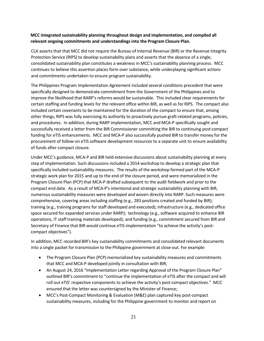#### **MCC integrated sustainability planning throughout design and implementation, and compiled all relevant ongoing commitments and understandingsinto the Program Closure Plan.**

CLA asserts that that MCC did not require the Bureau of Internal Revenue (BIR) or the Revenue Integrity Protection Service (RIPS) to develop sustainability plans and asserts that the absence of a single, consolidated sustainability plan constitutes a weakness in MCC's sustainability planning process. MCC continues to believe this assertion places form over substance, while underplaying significant actions and commitments undertaken to ensure program sustainability.

The Philippines Program Implementation Agreement included several conditions precedent that were specifically designed to demonstrate commitment from the Government of the Philippines and to improve the likelihood that RARP's reforms would be sustainable. This included clear requirements for certain staffing and funding levels for the relevant office within BIR, as well as for RIPS. The compact also included certain covenants to be maintained for the duration of the compact to ensure that, among other things, RIPS was fully exercising its authority to proactively pursue graft-related programs, policies, and procedures. In addition, during RARP implementation, MCC and MCA-P specifically sought and successfully received a letter from the BIR Commissioner committing the BIR to continuing post-compact funding for eTIS enhancements. MCC and MCA-P also successfully pushed BIR to transfer money for the procurement of follow-on eTIS software development resources to a separate unit to ensure availability of funds after compact closure.

Under MCC's guidance, MCA-P and BIR held extensive discussions about sustainability planning at every step of implementation. Such discussions included a 2014 workshop to develop a strategic plan that specifically included sustainability measures. The results of the workshop formed part of the MCA-P strategic work plan for 2015 and up to the end of the closure period, and were memorialized in the Program Closure Plan (PCP) that MCA-P drafted subsequent to the audit fieldwork and prior to the compact end date. As a result of MCA-P's intentional and strategic sustainability planning with BIR, numerous sustainability measures were developed and woven directly into RARP. Such measures were comprehensive, covering areas including staffing (e.g., 283 positions created and funded by BIR); training (e.g., training programs for staff developed and executed); infrastructure (e.g., dedicated office space secured for expanded services under RARP); technology (e.g., software acquired to enhance BIR operations, IT staff training materials developed); and funding (e.g., commitment secured from BIR and Secretary of Finance that BIR would continue eTIS implementation "to achieve the activity's postcompact objectives").

In addition, MCC recorded BIR's key sustainability commitments and consolidated relevant documents into a single packet for transmission to the Philippine government at close-out. For example:

- The Program Closure Plan (PCP) memorialized key sustainability measures and commitments that MCC and MCA-P developed jointly in consultation with BIR;
- An August 24, 2016 "Implementation Letter regarding Approval of the Program Closure Plan" outlined BIR's commitment to "continue the implementation of eTIS after the compact and will roll out eTIS' respective components to achieve the activity's post-compact objectives." MCC ensured that the letter was countersigned by the Minister of Finance;
- MCC's Post-Compact Monitoring & Evaluation (M&E) plan captured key post-compact sustainability measures, including for the Philippine government to monitor and report on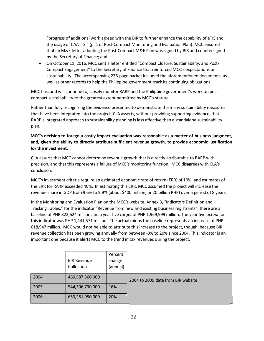"progress of additional work agreed with the BIR to further enhance the capability of eTIS and the usage of CAATTS." (p. 1 of Post-Compact Monitoring and Evaluation Plan). MCC ensured that an M&E letter adopting the Post-Compact M&E Plan was signed by BIR and countersigned by the Secretary of Finance; and

• On October 11, 2016, MCC sent a letter entitled "Compact Closure, Sustainability, and Post-Compact Engagement" to the Secretary of Finance that reinforced MCC's expectations on sustainability. The accompanying 236-page packet included the aforementioned documents, as well as other records to help the Philippine government track its continuing obligations.

MCC has, and will continue to, closely monitor RARP and the Philippine government's work on postcompact sustainability to the greatest extent permitted by MCC's statute.

Rather than fully recognizing the evidence presented to demonstrate the many sustainability measures that have been integrated into the project, CLA asserts, without providing supporting evidence, that RARP's integrated approach to sustainability planning is less effective than a standalone sustainability plan.

### **MCC's decision to forego a costly impact evaluation was reasonable as a matter of business judgment, and, given the ability to directly attribute sufficient revenue growth, to provide economic justification for the investment.**

CLA asserts that MCC cannot determine revenue growth that is directly attributable to RARP with precision, and that this represents a failure of MCC's monitoring function. MCC disagrees with CLA's conclusion.

MCC's investment criteria require an estimated economic rate of return (ERR) of 10%, and estimates of the ERR for RARP exceeded 40%. In estimating this ERR, MCC assumed the project will increase the revenue share in GDP from 9.6% to 9.9% (about \$400 million, or 20 billion PHP) over a period of 8 years.

In the Monitoring and Evaluation Plan on the MCC's website, Annex B, "Indicators Definition and Tracking Tables," for the indicator "Revenue from new and existing business registrants", there are a baseline of PHP 822,624 million and a year five *target* of PHP 1,969,999 million. The year five *actual* for this indicator was PHP 1,441,571 million. The actual minus the baseline represents an increase of PHP 618,947 million. MCC would not be able to attribute this increase to the project, though, because BIR revenue collection has been growing annually from between -3% to 20% since 2004. This indicator is an important one because it alerts MCC to the trend in tax revenues during the project.

|      | <b>BIR Revenue</b><br>Collection | Percent<br>change<br>(annual) |                                     |
|------|----------------------------------|-------------------------------|-------------------------------------|
| 2004 | 469,587,360,000                  |                               | 2004 to 2009 data from BIR website: |
| 2005 | 544,306,730,000                  | 16%                           |                                     |
| 2006 | 653,281,950,000                  | 20%                           |                                     |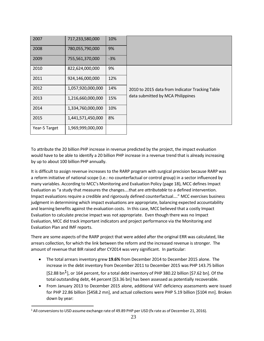| 2007          | 717,233,580,000   | 10%   |                                                 |
|---------------|-------------------|-------|-------------------------------------------------|
| 2008          | 780,055,790,000   | 9%    |                                                 |
| 2009          | 755,561,370,000   | $-3%$ |                                                 |
| 2010          | 822,624,000,000   | 9%    |                                                 |
| 2011          | 924,146,000,000   | 12%   |                                                 |
| 2012          | 1,057,920,000,000 | 14%   | 2010 to 2015 data from Indicator Tracking Table |
| 2013          | 1,216,660,000,000 | 15%   | data submitted by MCA Philippines               |
| 2014          | 1,334,760,000,000 | 10%   |                                                 |
| 2015          | 1,441,571,450,000 | 8%    |                                                 |
| Year-5 Target | 1,969,999,000,000 |       |                                                 |

To attribute the 20 billion PHP increase in revenue predicted by the project, the impact evaluation would have to be able to identify a 20 billion PHP increase in a revenue trend that is already increasing by up to about 100 billion PHP annually.

It is difficult to assign revenue increases to the RARP program with surgical precision because RARP was a reform initiative of national scope (i.e.: no counterfactual or control group) in a sector influenced by many variables. According to MCC's Monitoring and Evaluation Policy (page 18), MCC defines Impact Evaluation as "a study that measures the changes….that are *attributable* to a defined intervention. Impact evaluations require a credible and rigorously defined counterfactual…." MCC exercises business judgment in determining which impact evaluations are appropriate, balancing expected accountability and learning benefits against the evaluation costs. In this case, MCC believed that a costly Impact Evaluation to calculate precise impact was not appropriate. Even though there was no Impact Evaluation, MCC did track important indicators and project performance via the Monitoring and Evaluation Plan and IMF reports.

There are some aspects of the RARP project that were added after the original ERR was calculated, like arrears collection, for which the link between the reform and the increased revenue is stronger. The amount of revenue that BIR raised after CY2014 was very significant. In particular:

- The total arrears inventory grew **19.6%** from December 2014 to December 2015 alone. The increase in the debt inventory from December 2011 to December 2015 was PHP 143.75 billion  $[52.88 \text{ bn}^1]$ , or 164 percent, for a total debt inventory of PHP 380.22 billion [\$7.62 bn]. Of the total outstanding debt, 44 percent [\$3.36 bn] has been assessed as potentially recoverable.
- From January 2013 to December 2015 alone, additional VAT deficiency assessments were issued for PHP 22.86 billion [\$458.2 mn], and actual collections were PHP 5.19 billion [\$104 mn]. Broken down by year:

<sup>&</sup>lt;sup>1</sup> All conversions to USD assume exchange rate of 49.89 PHP per USD (fx rate as of December 21, 2016).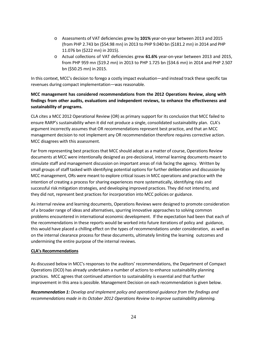- o Assessments of VAT deficiencies grew by **101%** year-on-year between 2013 and 2015 (from PHP 2.743 bn (\$54.98 mn) in 2013 to PHP 9.040 bn (\$181.2 mn) in 2014 and PHP 11.076 bn (\$222 mn) in 2015).
- o Actual collections of VAT deficiencies grew **61.6%** year-on-year between 2013 and 2015, from PHP 959 mn (\$19.2 mn) in 2013 to PHP 1.725 bn (\$34.6 mn) in 2014 and PHP 2.507 bn (\$50.25 mn) in 2015.

In this context, MCC's decision to forego a costly impact evaluation—and instead track these specific tax revenues during compact implementation—was reasonable.

### **MCC management has considered recommendations from the 2012 Operations Review, along with findings from other audits, evaluations and independent reviews, to enhance the effectiveness and sustainability of programs.**

CLA cites a MCC 2012 Operational Review (OR) as primary support for its conclusion that MCC failed to ensure RARP's sustainability when it did not produce a single, consolidated sustainability plan. CLA's argument incorrectly assumes that OR recommendations represent best practice, and that an MCC management decision to not implement any OR recommendation therefore requires corrective action. MCC disagrees with this assessment.

Far from representing best practices that MCC should adopt as a matter of course, Operations Review documents at MCC were intentionally designed as pre-decisional, internal learning documents meant to stimulate staff and management discussion on important areas of risk facing the agency. Written by small groups of staff tasked with identifying potential options for further deliberation and discussion by MCC management, ORs were meant to explore critical issues in MCC operations and practice with the intention of creating a process for sharing experiences more systematically, identifying risks and successful risk mitigation strategies, and developing improved practices. They did not intend to, and they did not, represent best practices for incorporation into MCC policies or guidance.

As internal review and learning documents, Operations Reviews were designed to promote consideration of a broader range of ideas and alternatives, spurring innovative approaches to solving common problems encountered in international economic development. If the expectation had been that each of the recommendations in these reports would be worked into future iterations of policy and guidance, this would have placed a chilling effect on the types of recommendations under consideration, as well as on the internal clearance process for these documents, ultimately limiting the learning outcomes and undermining the entire purpose of the internal reviews.

#### **CLA's Recommendations**

As discussed below in MCC's responses to the auditors' recommendations, the Department of Compact Operations (DCO) has already undertaken a number of actions to enhance sustainability planning practices. MCC agrees that continued attention to sustainability is essential and that further improvement in this area is possible. Management Decision on each recommendation is given below.

*Recommendation 1: Develop and implement policy and operational guidance from the findings and recommendations made in its October 2012 Operations Review to improve sustainability planning.*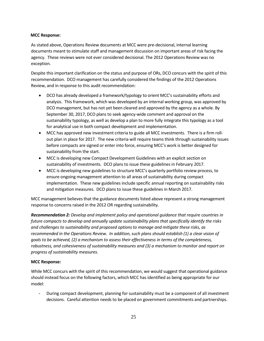#### **MCC Response:**

As stated above, Operations Review documents at MCC were pre-decisional, internal learning documents meant to stimulate staff and management discussion on important areas of risk facing the agency. These reviews were not ever considered decisional. The 2012 Operations Review was no exception.

Despite this important clarification on the status and purpose of ORs, DCO concurs with the spirit of this recommendation. DCO management has carefully considered the findings of the 2012 Operations Review, and in response to this audit recommendation:

- DCO has already developed a framework/typology to orient MCC's sustainability efforts and analysis. This framework, which was developed by an internal working group, was approved by DCO management, but has not yet been cleared and approved by the agency as a whole. By September 30, 2017, DCO plans to seek agency-wide comment and approval on the sustainability typology, as well as develop a plan to more fully integrate this typology as a tool for analytical use in both compact development and implementation.
- MCC has approved new investment criteria to guide all MCC investments. There is a firm rollout plan in place for 2017. The new criteria will require teams think through sustainability issues before compacts are signed or enter into force, ensuring MCC's work is better designed for sustainability from the start.
- MCC is developing new Compact Development Guidelines with an explicit section on sustainability of investments. DCO plans to issue these guidelines in February 2017.
- MCC is developing new guidelines to structure MCC's quarterly portfolio review process, to ensure ongoing management attention to all areas of sustainability during compact implementation. These new guidelines include specific annual reporting on sustainability risks and mitigation measures. DCO plans to issue these guidelines in March 2017.

MCC management believes that the guidance documents listed above represent a strong management response to concerns raised in the 2012 OR regarding sustainability.

*Recommendation 2: Develop and implement policy and operational guidance that require countries in future compacts to develop and annually update sustainability plans that specifically identify the risks and challenges to sustainability and proposed options to manage and mitigate these risks, as recommended in the Operations Review. In addition, such plans should establish (1) a clear vision of goals to be achieved, (2) a mechanism to assess their effectiveness in terms of the completeness, robustness, and cohesiveness of sustainability measures and (3) a mechanism to monitor and report on progress of sustainability measures.*

#### **MCC Response:**

While MCC concurs with the spirit of this recommendation, we would suggest that operational guidance should instead focus on the following factors, which MCC has identified as being appropriate for our model:

- During compact development, planning for sustainability must be a component of all investment decisions. Careful attention needs to be placed on government commitments and partnerships.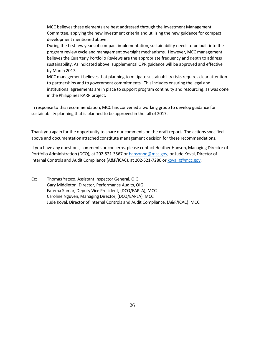MCC believes these elements are best addressed through the Investment Management Committee, applying the new investment criteria and utilizing the new guidance for compact development mentioned above.

- During the first few years of compact implementation, sustainability needs to be built into the program review cycle and management oversight mechanisms. However, MCC management believes the Quarterly Portfolio Reviews are the appropriate frequency and depth to address sustainability. As indicated above, supplemental QPR guidance will be approved and effective by March 2017.
- MCC management believes that planning to mitigate sustainability risks requires clear attention to partnerships and to government commitments. Thisincludes ensuring the legal and institutional agreements are in place to support program continuity and resourcing, as was done in the Philippines RARP project.

In response to this recommendation, MCC has convened a working group to develop guidance for sustainability planning that is planned to be approved in the fall of 2017.

Thank you again for the opportunity to share our comments on the draft report. The actions specified above and documentation attached constitute management decision for these recommendations.

If you have any questions, comments or concerns, please contact Heather Hanson, Managing Director of Portfolio Administration (DCO), at 202-521-3567 or [hansonhd@mcc.gov;](mailto:hansonhd@mcc.gov) or Jude Koval, Director of Internal Controls and Audit Compliance (A&F/ICAC), at 202-521-7280 or [kovaljg@mcc.gov.](mailto:kovaljg@mcc.gov)

Cc: Thomas Yatsco, Assistant Inspector General, OIG Gary Middleton, Director, Performance Audits, OIG Fatema Sumar, Deputy Vice President, (DCO/EAPLA), MCC Caroline Nguyen, Managing Director, (DCO/EAPLA), MCC Jude Koval, Director of Internal Controls and Audit Compliance, (A&F/ICAC), MCC